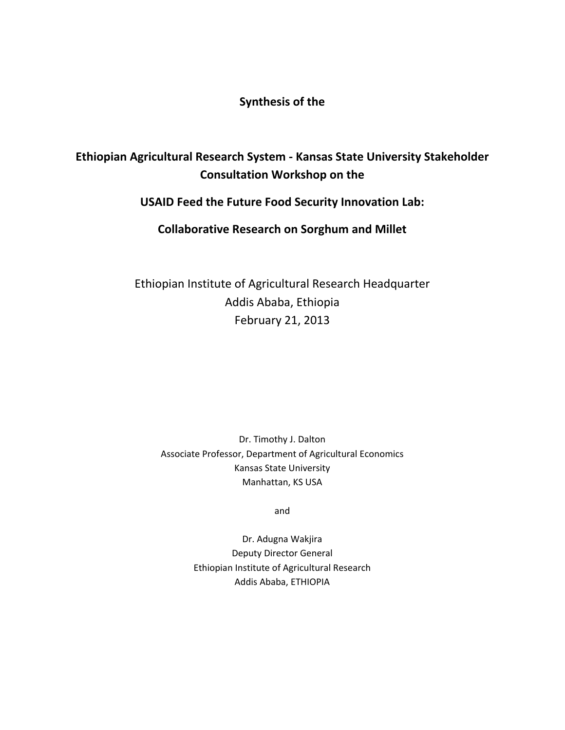#### **Synthesis of the**

### **Ethiopian Agricultural Research System ‐ Kansas State University Stakeholder Consultation Workshop on the**

#### **USAID Feed the Future Food Security Innovation Lab:**

**Collaborative Research on Sorghum and Millet**

Ethiopian Institute of Agricultural Research Headquarter Addis Ababa, Ethiopia February 21, 2013

Dr. Timothy J. Dalton Associate Professor, Department of Agricultural Economics Kansas State University Manhattan, KS USA

and

Dr. Adugna Wakjira Deputy Director General Ethiopian Institute of Agricultural Research Addis Ababa, ETHIOPIA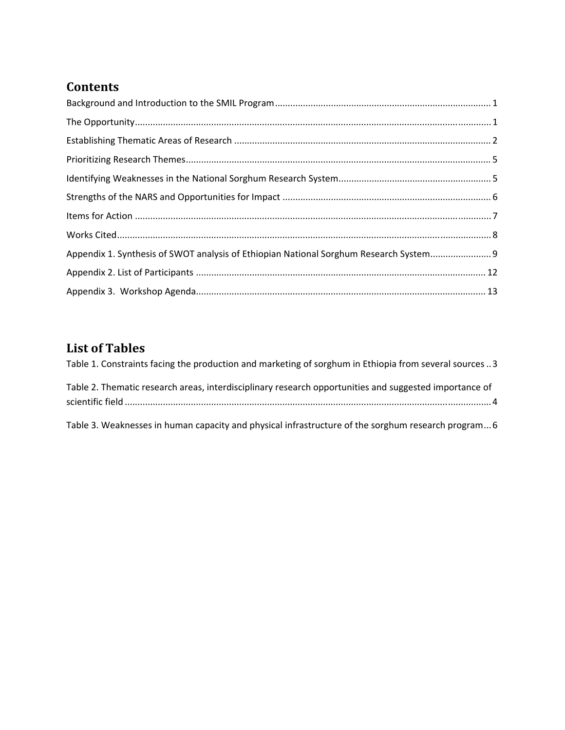### **Contents**

| Appendix 1. Synthesis of SWOT analysis of Ethiopian National Sorghum Research System 9 |  |
|----------------------------------------------------------------------------------------|--|
|                                                                                        |  |
|                                                                                        |  |

# **List of Tables**

| Table 1. Constraints facing the production and marketing of sorghum in Ethiopia from several sources 3 |
|--------------------------------------------------------------------------------------------------------|
| Table 2. Thematic research areas, interdisciplinary research opportunities and suggested importance of |
| Table 3. Weaknesses in human capacity and physical infrastructure of the sorghum research program 6    |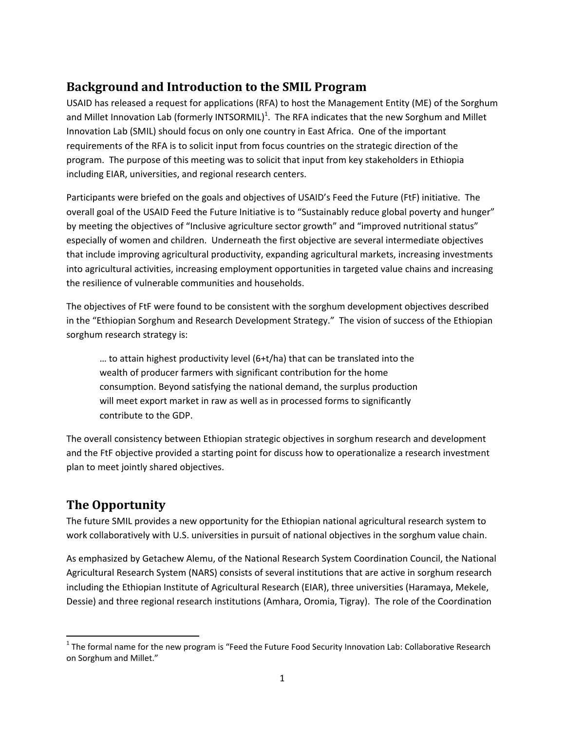### **Background and Introduction to the SMIL Program**

USAID has released a request for applications (RFA) to host the Management Entity (ME) of the Sorghum and Millet Innovation Lab (formerly INTSORMIL)<sup>1</sup>. The RFA indicates that the new Sorghum and Millet Innovation Lab (SMIL) should focus on only one country in East Africa. One of the important requirements of the RFA is to solicit input from focus countries on the strategic direction of the program. The purpose of this meeting was to solicit that input from key stakeholders in Ethiopia including EIAR, universities, and regional research centers.

Participants were briefed on the goals and objectives of USAID's Feed the Future (FtF) initiative. The overall goal of the USAID Feed the Future Initiative is to "Sustainably reduce global poverty and hunger" by meeting the objectives of "Inclusive agriculture sector growth" and "improved nutritional status" especially of women and children. Underneath the first objective are several intermediate objectives that include improving agricultural productivity, expanding agricultural markets, increasing investments into agricultural activities, increasing employment opportunities in targeted value chains and increasing the resilience of vulnerable communities and households.

The objectives of FtF were found to be consistent with the sorghum development objectives described in the "Ethiopian Sorghum and Research Development Strategy." The vision of success of the Ethiopian sorghum research strategy is:

… to attain highest productivity level (6+t/ha) that can be translated into the wealth of producer farmers with significant contribution for the home consumption. Beyond satisfying the national demand, the surplus production will meet export market in raw as well as in processed forms to significantly contribute to the GDP.

The overall consistency between Ethiopian strategic objectives in sorghum research and development and the FtF objective provided a starting point for discuss how to operationalize a research investment plan to meet jointly shared objectives.

### **The Opportunity**

The future SMIL provides a new opportunity for the Ethiopian national agricultural research system to work collaboratively with U.S. universities in pursuit of national objectives in the sorghum value chain.

As emphasized by Getachew Alemu, of the National Research System Coordination Council, the National Agricultural Research System (NARS) consists of several institutions that are active in sorghum research including the Ethiopian Institute of Agricultural Research (EIAR), three universities (Haramaya, Mekele, Dessie) and three regional research institutions (Amhara, Oromia, Tigray). The role of the Coordination

  $1$  The formal name for the new program is "Feed the Future Food Security Innovation Lab: Collaborative Research on Sorghum and Millet."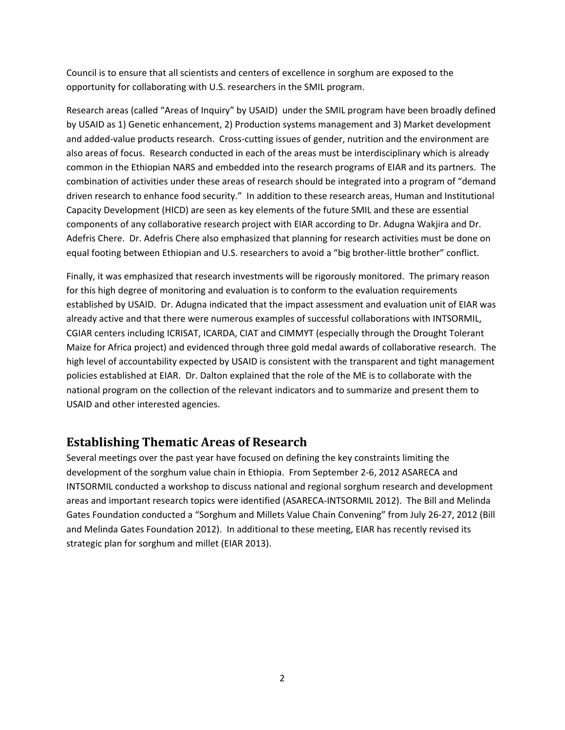Council is to ensure that all scientists and centers of excellence in sorghum are exposed to the opportunity for collaborating with U.S. researchers in the SMIL program.

Research areas (called "Areas of Inquiry" by USAID) under the SMIL program have been broadly defined by USAID as 1) Genetic enhancement, 2) Production systems management and 3) Market development and added‐value products research. Cross‐cutting issues of gender, nutrition and the environment are also areas of focus. Research conducted in each of the areas must be interdisciplinary which is already common in the Ethiopian NARS and embedded into the research programs of EIAR and its partners. The combination of activities under these areas of research should be integrated into a program of "demand driven research to enhance food security." In addition to these research areas, Human and Institutional Capacity Development (HICD) are seen as key elements of the future SMIL and these are essential components of any collaborative research project with EIAR according to Dr. Adugna Wakjira and Dr. Adefris Chere. Dr. Adefris Chere also emphasized that planning for research activities must be done on equal footing between Ethiopian and U.S. researchers to avoid a "big brother-little brother" conflict.

Finally, it was emphasized that research investments will be rigorously monitored. The primary reason for this high degree of monitoring and evaluation is to conform to the evaluation requirements established by USAID. Dr. Adugna indicated that the impact assessment and evaluation unit of EIAR was already active and that there were numerous examples of successful collaborations with INTSORMIL, CGIAR centers including ICRISAT, ICARDA, CIAT and CIMMYT (especially through the Drought Tolerant Maize for Africa project) and evidenced through three gold medal awards of collaborative research. The high level of accountability expected by USAID is consistent with the transparent and tight management policies established at EIAR. Dr. Dalton explained that the role of the ME is to collaborate with the national program on the collection of the relevant indicators and to summarize and present them to USAID and other interested agencies.

#### **Establishing Thematic Areas of Research**

Several meetings over the past year have focused on defining the key constraints limiting the development of the sorghum value chain in Ethiopia. From September 2‐6, 2012 ASARECA and INTSORMIL conducted a workshop to discuss national and regional sorghum research and development areas and important research topics were identified (ASARECA‐INTSORMIL 2012). The Bill and Melinda Gates Foundation conducted a "Sorghum and Millets Value Chain Convening" from July 26‐27, 2012 (Bill and Melinda Gates Foundation 2012). In additional to these meeting, EIAR has recently revised its strategic plan for sorghum and millet (EIAR 2013).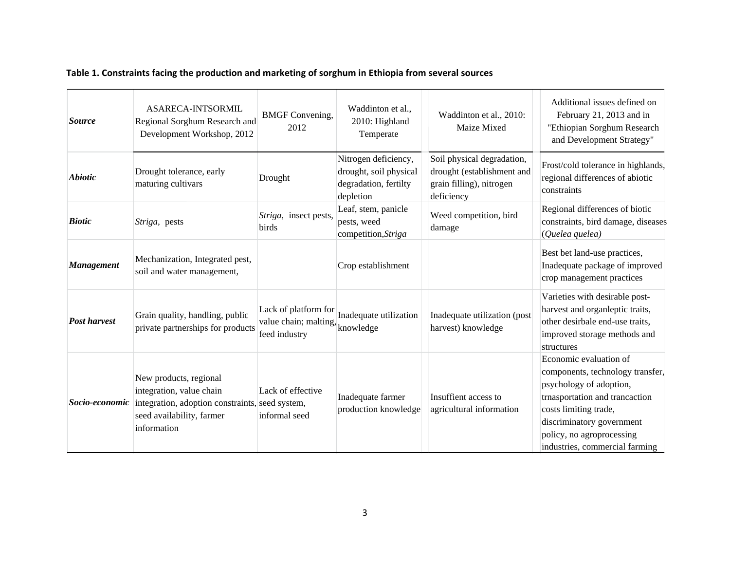#### **Table 1. Constraints facing the production and marketing of sorghum in Ethiopia from several sources**

| <b>Source</b>       | <b>ASARECA-INTSORMIL</b><br>Regional Sorghum Research and<br>Development Workshop, 2012                                                           | <b>BMGF</b> Convening,<br>2012                   | Waddinton et al.,<br>2010: Highland<br>Temperate                                     | Waddinton et al., 2010:<br>Maize Mixed                                                             | Additional issues defined on<br>February 21, 2013 and in<br>"Ethiopian Sorghum Research<br>and Development Strategy"                                                                                                                         |
|---------------------|---------------------------------------------------------------------------------------------------------------------------------------------------|--------------------------------------------------|--------------------------------------------------------------------------------------|----------------------------------------------------------------------------------------------------|----------------------------------------------------------------------------------------------------------------------------------------------------------------------------------------------------------------------------------------------|
| <b>Abiotic</b>      | Drought tolerance, early<br>maturing cultivars                                                                                                    | Drought                                          | Nitrogen deficiency,<br>drought, soil physical<br>degradation, fertilty<br>depletion | Soil physical degradation,<br>drought (establishment and<br>grain filling), nitrogen<br>deficiency | Frost/cold tolerance in highlands.<br>regional differences of abiotic<br>constraints                                                                                                                                                         |
| <b>Biotic</b>       | Striga, pests                                                                                                                                     | Striga, insect pests,<br>birds                   | Leaf, stem, panicle<br>pests, weed<br>competition, Striga                            | Weed competition, bird<br>damage                                                                   | Regional differences of biotic<br>constraints, bird damage, diseases<br>(Quelea quelea)                                                                                                                                                      |
| <b>Management</b>   | Mechanization, Integrated pest,<br>soil and water management,                                                                                     |                                                  | Crop establishment                                                                   |                                                                                                    | Best bet land-use practices,<br>Inadequate package of improved<br>crop management practices                                                                                                                                                  |
| <b>Post harvest</b> | Grain quality, handling, public<br>private partnerships for products                                                                              | value chain; malting, knowledge<br>feed industry | Lack of platform for Inadequate utilization                                          | Inadequate utilization (post<br>harvest) knowledge                                                 | Varieties with desirable post-<br>harvest and organ<br>leptic traits,<br>other desirbale end-use traits,<br>improved storage methods and<br>structures                                                                                       |
| Socio-economic      | New products, regional<br>integration, value chain<br>integration, adoption constraints, seed system,<br>seed availability, farmer<br>information | Lack of effective<br>informal seed               | Inadequate farmer<br>production knowledge                                            | Insuffient access to<br>agricultural information                                                   | Economic evaluation of<br>components, technology transfer.<br>psychology of adoption,<br>trnasportation and trancaction<br>costs limiting trade,<br>discriminatory government<br>policy, no agroprocessing<br>industries, commercial farming |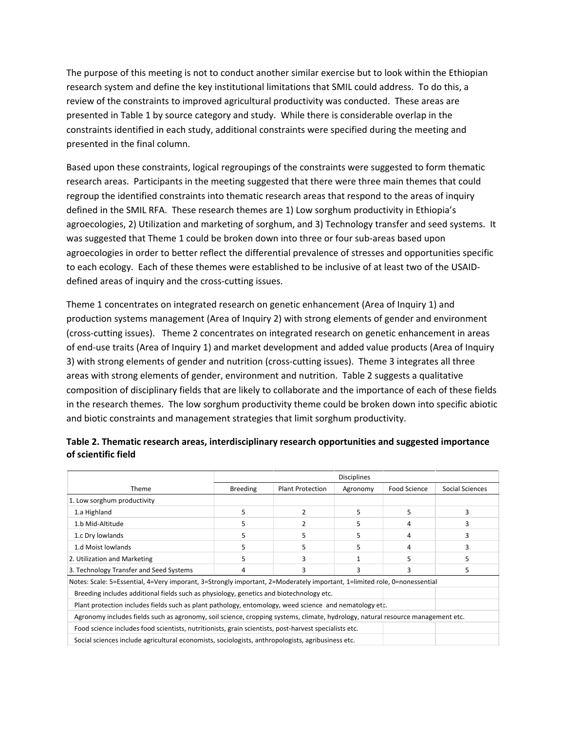The purpose of this meeting is not to conduct another similar exercise but to look within the Ethiopian research system and define the key institutional limitations that SMIL could address. To do this, a review of the constraints to improved agricultural productivity was conducted. These areas are presented in Table 1 by source category and study. While there is considerable overlap in the constraints identified in each study, additional constraints were specified during the meeting and presented in the final column.

Based upon these constraints, logical regroupings of the constraints were suggested to form thematic research areas. Participants in the meeting suggested that there were three main themes that could regroup the identified constraints into thematic research areas that respond to the areas of inquiry defined in the SMIL RFA. These research themes are 1) Low sorghum productivity in Ethiopia's agroecologies, 2) Utilization and marketing of sorghum, and 3) Technology transfer and seed systems. It was suggested that Theme 1 could be broken down into three or four sub-areas based upon agroecologies in order to better reflect the differential prevalence of stresses and opportunities specific to each ecology. Each of these themes were established to be inclusive of at least two of the USAID‐ defined areas of inquiry and the cross‐cutting issues.

Theme 1 concentrates on integrated research on genetic enhancement (Area of Inquiry 1) and production systems management (Area of Inquiry 2) with strong elements of gender and environment (cross‐cutting issues). Theme 2 concentrates on integrated research on genetic enhancement in areas of end‐use traits (Area of Inquiry 1) and market development and added value products (Area of Inquiry 3) with strong elements of gender and nutrition (cross‐cutting issues). Theme 3 integrates all three areas with strong elements of gender, environment and nutrition. Table 2 suggests a qualitative composition of disciplinary fields that are likely to collaborate and the importance of each of these fields in the research themes. The low sorghum productivity theme could be broken down into specific abiotic and biotic constraints and management strategies that limit sorghum productivity.

|                                                                                                                                 | <b>Disciplines</b> |                  |          |              |                 |
|---------------------------------------------------------------------------------------------------------------------------------|--------------------|------------------|----------|--------------|-----------------|
| Theme                                                                                                                           | <b>Breeding</b>    | Plant Protection | Agronomy | Food Science | Social Sciences |
| 1. Low sorghum productivity                                                                                                     |                    |                  |          |              |                 |
| 1.a Highland                                                                                                                    | 5                  |                  | 5        | 5            |                 |
| 1.b Mid-Altitude                                                                                                                | 5                  |                  | 5        | 4            |                 |
| 1.c Dry lowlands                                                                                                                | 5                  |                  | 5        | 4            |                 |
| 1.d Moist lowlands                                                                                                              | 5                  |                  | 5        | 4            |                 |
| 2. Utilization and Marketing                                                                                                    | 5                  | 3                |          | כ            |                 |
| 3. Technology Transfer and Seed Systems                                                                                         | 4                  | 3                | 3        | 3            | 5               |
| Notes: Scale: 5=Essential, 4=Very imporant, 3=Strongly important, 2=Moderately important, 1=limited role, 0=nonessential        |                    |                  |          |              |                 |
| Breeding includes additional fields such as physiology, genetics and biotechnology etc.                                         |                    |                  |          |              |                 |
| Plant protection includes fields such as plant pathology, entomology, weed science and nematology etc.                          |                    |                  |          |              |                 |
| Agronomy includes fields such as agronomy, soil science, cropping systems, climate, hydrology, natural resource management etc. |                    |                  |          |              |                 |
| Food science includes food scientists, nutritionists, grain scientists, post-harvest specialists etc.                           |                    |                  |          |              |                 |
| Social sciences include agricultural economists, sociologists, anthropologists, agribusiness etc.                               |                    |                  |          |              |                 |

#### **Table 2. Thematic research areas, interdisciplinary research opportunities and suggested importance of scientific field**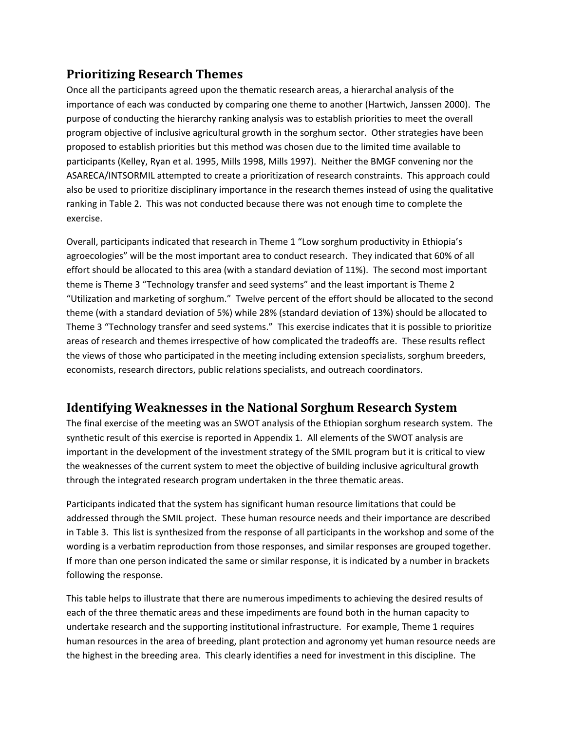### **Prioritizing Research Themes**

Once all the participants agreed upon the thematic research areas, a hierarchal analysis of the importance of each was conducted by comparing one theme to another (Hartwich, Janssen 2000). The purpose of conducting the hierarchy ranking analysis was to establish priorities to meet the overall program objective of inclusive agricultural growth in the sorghum sector. Other strategies have been proposed to establish priorities but this method was chosen due to the limited time available to participants (Kelley, Ryan et al. 1995, Mills 1998, Mills 1997). Neither the BMGF convening nor the ASARECA/INTSORMIL attempted to create a prioritization of research constraints. This approach could also be used to prioritize disciplinary importance in the research themes instead of using the qualitative ranking in Table 2. This was not conducted because there was not enough time to complete the exercise.

Overall, participants indicated that research in Theme 1 "Low sorghum productivity in Ethiopia's agroecologies" will be the most important area to conduct research. They indicated that 60% of all effort should be allocated to this area (with a standard deviation of 11%). The second most important theme is Theme 3 "Technology transfer and seed systems" and the least important is Theme 2 "Utilization and marketing of sorghum." Twelve percent of the effort should be allocated to the second theme (with a standard deviation of 5%) while 28% (standard deviation of 13%) should be allocated to Theme 3 "Technology transfer and seed systems." This exercise indicates that it is possible to prioritize areas of research and themes irrespective of how complicated the tradeoffs are. These results reflect the views of those who participated in the meeting including extension specialists, sorghum breeders, economists, research directors, public relations specialists, and outreach coordinators.

### **Identifying Weaknesses in the National Sorghum Research System**

The final exercise of the meeting was an SWOT analysis of the Ethiopian sorghum research system. The synthetic result of this exercise is reported in Appendix 1. All elements of the SWOT analysis are important in the development of the investment strategy of the SMIL program but it is critical to view the weaknesses of the current system to meet the objective of building inclusive agricultural growth through the integrated research program undertaken in the three thematic areas.

Participants indicated that the system has significant human resource limitations that could be addressed through the SMIL project. These human resource needs and their importance are described in Table 3. This list is synthesized from the response of all participants in the workshop and some of the wording is a verbatim reproduction from those responses, and similar responses are grouped together. If more than one person indicated the same or similar response, it is indicated by a number in brackets following the response.

This table helps to illustrate that there are numerous impediments to achieving the desired results of each of the three thematic areas and these impediments are found both in the human capacity to undertake research and the supporting institutional infrastructure. For example, Theme 1 requires human resources in the area of breeding, plant protection and agronomy yet human resource needs are the highest in the breeding area. This clearly identifies a need for investment in this discipline. The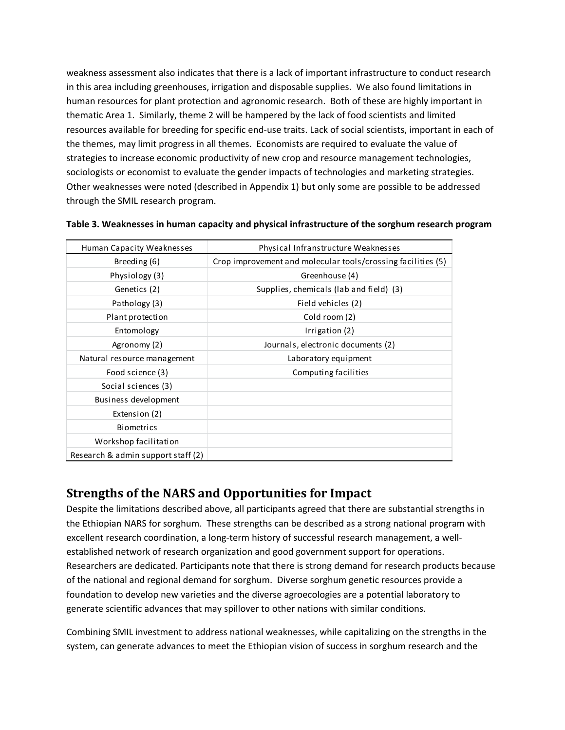weakness assessment also indicates that there is a lack of important infrastructure to conduct research in this area including greenhouses, irrigation and disposable supplies. We also found limitations in human resources for plant protection and agronomic research. Both of these are highly important in thematic Area 1. Similarly, theme 2 will be hampered by the lack of food scientists and limited resources available for breeding for specific end‐use traits. Lack of social scientists, important in each of the themes, may limit progress in all themes. Economists are required to evaluate the value of strategies to increase economic productivity of new crop and resource management technologies, sociologists or economist to evaluate the gender impacts of technologies and marketing strategies. Other weaknesses were noted (described in Appendix 1) but only some are possible to be addressed through the SMIL research program.

| Human Capacity Weaknesses          | Physical Infranstructure Weaknesses                          |
|------------------------------------|--------------------------------------------------------------|
| Breeding (6)                       | Crop improvement and molecular tools/crossing facilities (5) |
| Physiology (3)                     | Greenhouse (4)                                               |
| Genetics (2)                       | Supplies, chemicals (lab and field) (3)                      |
| Pathology (3)                      | Field vehicles (2)                                           |
| Plant protection                   | Cold room (2)                                                |
| Entomology                         | Irrigation (2)                                               |
| Agronomy (2)                       | Journals, electronic documents (2)                           |
| Natural resource management        | Laboratory equipment                                         |
| Food science (3)                   | Computing facilities                                         |
| Social sciences (3)                |                                                              |
| Business development               |                                                              |
| Extension (2)                      |                                                              |
| <b>Biometrics</b>                  |                                                              |
| Workshop facilitation              |                                                              |
| Research & admin support staff (2) |                                                              |

#### **Table 3. Weaknesses in human capacity and physical infrastructure of the sorghum research program**

#### **Strengths of the NARS and Opportunities for Impact**

Despite the limitations described above, all participants agreed that there are substantial strengths in the Ethiopian NARS for sorghum. These strengths can be described as a strong national program with excellent research coordination, a long-term history of successful research management, a wellestablished network of research organization and good government support for operations. Researchers are dedicated. Participants note that there is strong demand for research products because of the national and regional demand for sorghum. Diverse sorghum genetic resources provide a foundation to develop new varieties and the diverse agroecologies are a potential laboratory to generate scientific advances that may spillover to other nations with similar conditions.

Combining SMIL investment to address national weaknesses, while capitalizing on the strengths in the system, can generate advances to meet the Ethiopian vision of success in sorghum research and the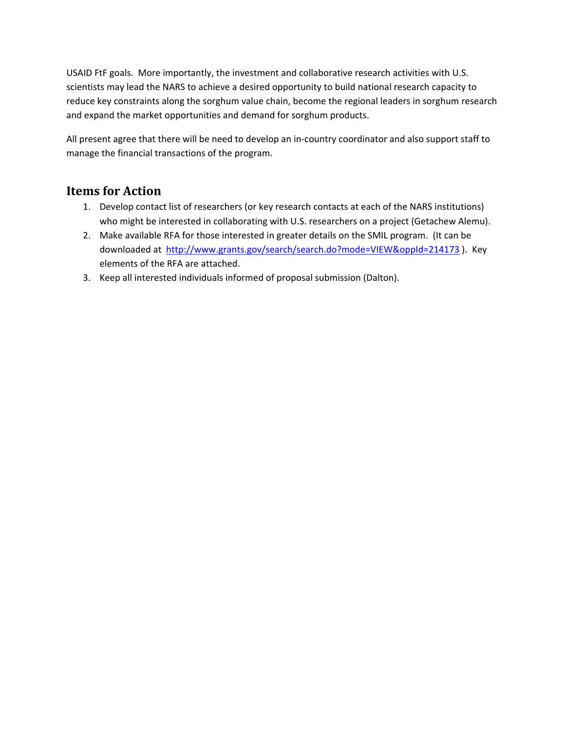USAID FtF goals. More importantly, the investment and collaborative research activities with U.S. scientists may lead the NARS to achieve a desired opportunity to build national research capacity to reduce key constraints along the sorghum value chain, become the regional leaders in sorghum research and expand the market opportunities and demand for sorghum products.

All present agree that there will be need to develop an in‐country coordinator and also support staff to manage the financial transactions of the program.

### **Items for Action**

- 1. Develop contact list of researchers (or key research contacts at each of the NARS institutions) who might be interested in collaborating with U.S. researchers on a project (Getachew Alemu).
- 2. Make available RFA for those interested in greater details on the SMIL program. (It can be downloaded at http://www.grants.gov/search/search.do?mode=VIEW&oppId=214173 ). Key elements of the RFA are attached.
- 3. Keep all interested individuals informed of proposal submission (Dalton).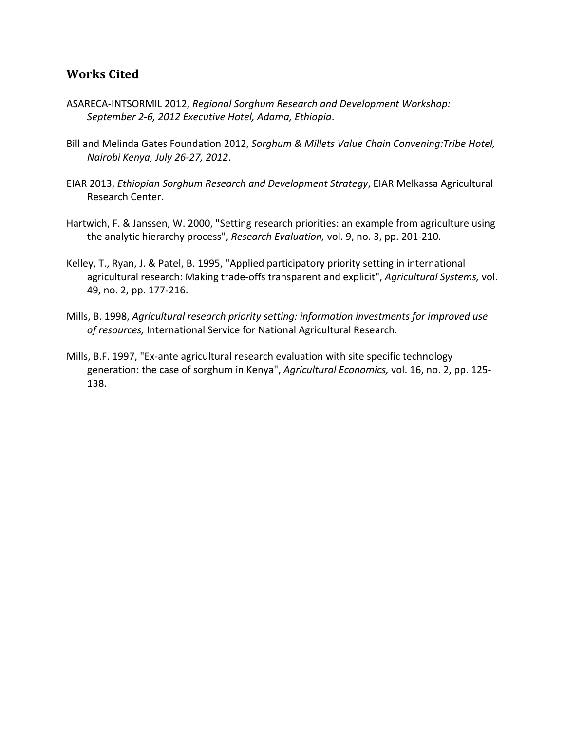#### **Works Cited**

- ASARECA‐INTSORMIL 2012, *Regional Sorghum Research and Development Workshop: September 2‐6, 2012 Executive Hotel, Adama, Ethiopia*.
- Bill and Melinda Gates Foundation 2012, *Sorghum & Millets Value Chain Convening:Tribe Hotel, Nairobi Kenya, July 26‐27, 2012*.
- EIAR 2013, *Ethiopian Sorghum Research and Development Strategy*, EIAR Melkassa Agricultural Research Center.
- Hartwich, F. & Janssen, W. 2000, "Setting research priorities: an example from agriculture using the analytic hierarchy process", *Research Evaluation,* vol. 9, no. 3, pp. 201‐210.
- Kelley, T., Ryan, J. & Patel, B. 1995, "Applied participatory priority setting in international agricultural research: Making trade‐offs transparent and explicit", *Agricultural Systems,* vol. 49, no. 2, pp. 177‐216.
- Mills, B. 1998, *Agricultural research priority setting: information investments for improved use of resources,* International Service for National Agricultural Research.
- Mills, B.F. 1997, "Ex‐ante agricultural research evaluation with site specific technology generation: the case of sorghum in Kenya", *Agricultural Economics,* vol. 16, no. 2, pp. 125‐ 138.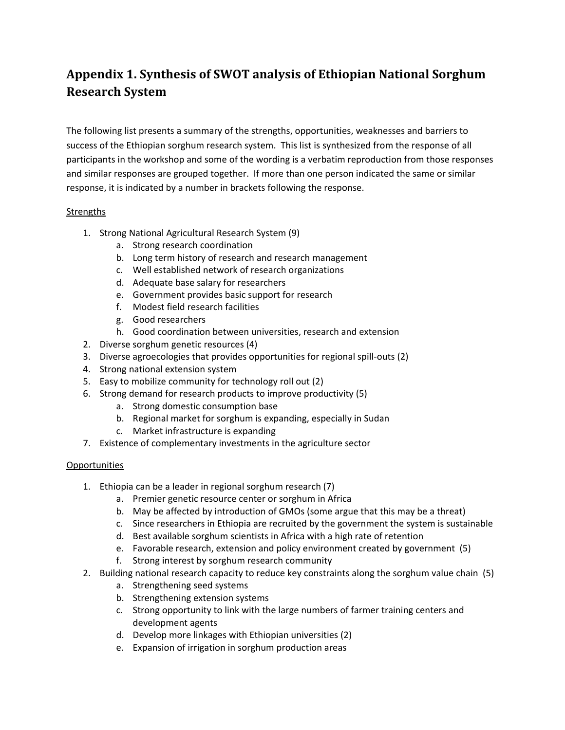## **Appendix 1. Synthesis of SWOT analysis of Ethiopian National Sorghum Research System**

The following list presents a summary of the strengths, opportunities, weaknesses and barriers to success of the Ethiopian sorghum research system. This list is synthesized from the response of all participants in the workshop and some of the wording is a verbatim reproduction from those responses and similar responses are grouped together. If more than one person indicated the same or similar response, it is indicated by a number in brackets following the response.

#### Strengths

- 1. Strong National Agricultural Research System (9)
	- a. Strong research coordination
	- b. Long term history of research and research management
	- c. Well established network of research organizations
	- d. Adequate base salary for researchers
	- e. Government provides basic support for research
	- f. Modest field research facilities
	- g. Good researchers
	- h. Good coordination between universities, research and extension
- 2. Diverse sorghum genetic resources (4)
- 3. Diverse agroecologies that provides opportunities for regional spill‐outs (2)
- 4. Strong national extension system
- 5. Easy to mobilize community for technology roll out (2)
- 6. Strong demand for research products to improve productivity (5)
	- a. Strong domestic consumption base
	- b. Regional market for sorghum is expanding, especially in Sudan
	- c. Market infrastructure is expanding
- 7. Existence of complementary investments in the agriculture sector

#### **Opportunities**

- 1. Ethiopia can be a leader in regional sorghum research (7)
	- a. Premier genetic resource center or sorghum in Africa
	- b. May be affected by introduction of GMOs (some argue that this may be a threat)
	- c. Since researchers in Ethiopia are recruited by the government the system is sustainable
	- d. Best available sorghum scientists in Africa with a high rate of retention
	- e. Favorable research, extension and policy environment created by government (5)
	- f. Strong interest by sorghum research community
- 2. Building national research capacity to reduce key constraints along the sorghum value chain (5)
	- a. Strengthening seed systems
	- b. Strengthening extension systems
	- c. Strong opportunity to link with the large numbers of farmer training centers and development agents
	- d. Develop more linkages with Ethiopian universities (2)
	- e. Expansion of irrigation in sorghum production areas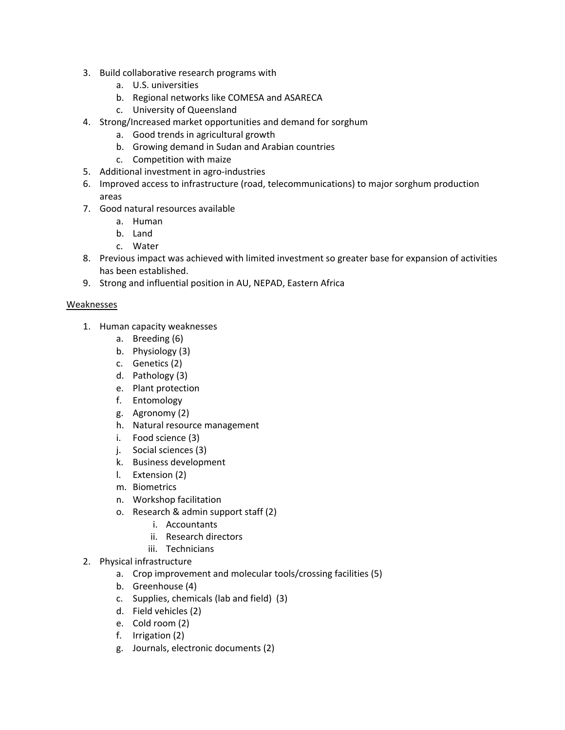- 3. Build collaborative research programs with
	- a. U.S. universities
	- b. Regional networks like COMESA and ASARECA
	- c. University of Queensland
- 4. Strong/Increased market opportunities and demand for sorghum
	- a. Good trends in agricultural growth
	- b. Growing demand in Sudan and Arabian countries
	- c. Competition with maize
- 5. Additional investment in agro-industries
- 6. Improved access to infrastructure (road, telecommunications) to major sorghum production areas
- 7. Good natural resources available
	- a. Human
	- b. Land
	- c. Water
- 8. Previous impact was achieved with limited investment so greater base for expansion of activities has been established.
- 9. Strong and influential position in AU, NEPAD, Eastern Africa

#### Weaknesses

- 1. Human capacity weaknesses
	- a. Breeding (6)
	- b. Physiology (3)
	- c. Genetics (2)
	- d. Pathology (3)
	- e. Plant protection
	- f. Entomology
	- g. Agronomy (2)
	- h. Natural resource management
	- i. Food science (3)
	- j. Social sciences (3)
	- k. Business development
	- l. Extension (2)
	- m. Biometrics
	- n. Workshop facilitation
	- o. Research & admin support staff (2)
		- i. Accountants
		- ii. Research directors
		- iii. Technicians
- 2. Physical infrastructure
	- a. Crop improvement and molecular tools/crossing facilities (5)
	- b. Greenhouse (4)
	- c. Supplies, chemicals (lab and field) (3)
	- d. Field vehicles (2)
	- e. Cold room (2)
	- f. Irrigation (2)
	- g. Journals, electronic documents (2)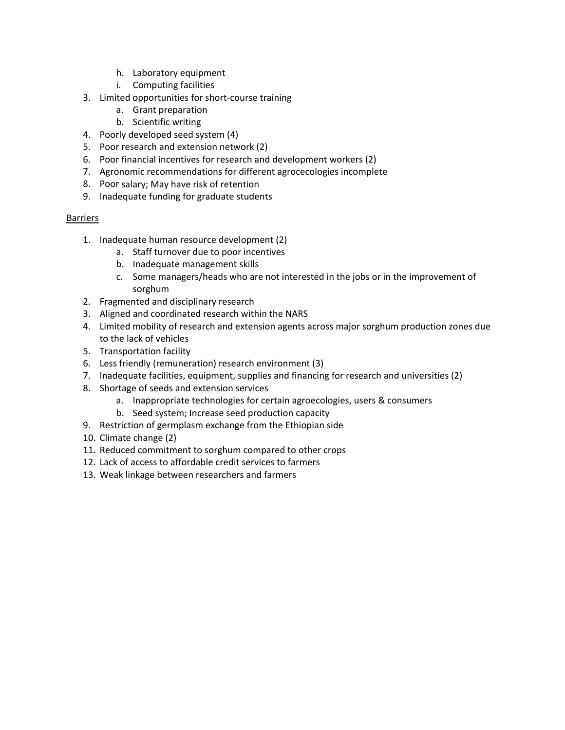- h. Laboratory equipment
- i. Computing facilities
- 3. Limited opportunities for short‐course training
	- a. Grant preparation
	- b. Scientific writing
- 4. Poorly developed seed system (4)
- 5. Poor research and extension network (2)
- 6. Poor financial incentives for research and development workers (2)
- 7. Agronomic recommendations for different agrocecologies incomplete
- 8. Poor salary; May have risk of retention
- 9. Inadequate funding for graduate students

#### Barriers

- 1. Inadequate human resource development (2)
	- a. Staff turnover due to poor incentives
	- b. Inadequate management skills
	- c. Some managers/heads who are not interested in the jobs or in the improvement of sorghum
- 2. Fragmented and disciplinary research
- 3. Aligned and coordinated research within the NARS
- 4. Limited mobility of research and extension agents across major sorghum production zones due to the lack of vehicles
- 5. Transportation facility
- 6. Less friendly (remuneration) research environment (3)
- 7. Inadequate facilities, equipment, supplies and financing for research and universities (2)
- 8. Shortage of seeds and extension services
	- a. Inappropriate technologies for certain agroecologies, users & consumers
	- b. Seed system; Increase seed production capacity
- 9. Restriction of germplasm exchange from the Ethiopian side
- 10. Climate change (2)
- 11. Reduced commitment to sorghum compared to other crops
- 12. Lack of access to affordable credit services to farmers
- 13. Weak linkage between researchers and farmers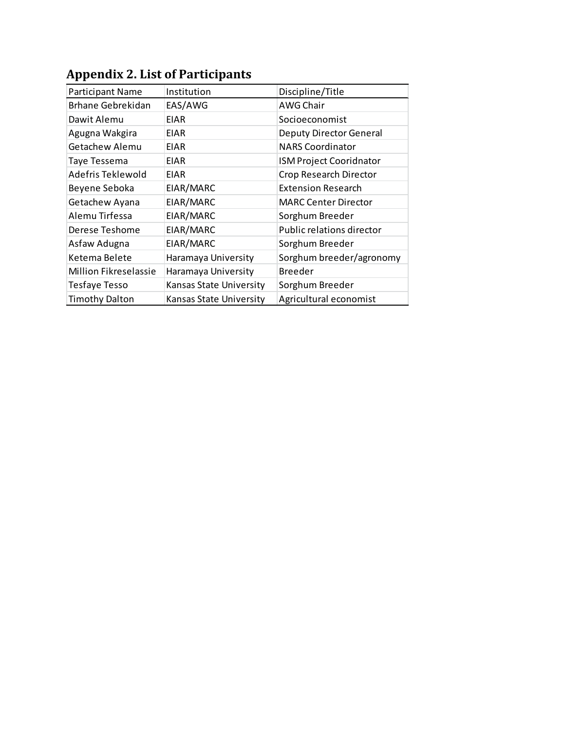| <b>Participant Name</b>      | Institution                    | Discipline/Title               |
|------------------------------|--------------------------------|--------------------------------|
| Brhane Gebrekidan            | EAS/AWG                        | AWG Chair                      |
| Dawit Alemu                  | <b>EIAR</b>                    | Socioeconomist                 |
| Agugna Wakgira               | <b>EIAR</b>                    | <b>Deputy Director General</b> |
| Getachew Alemu               | <b>EIAR</b>                    | <b>NARS Coordinator</b>        |
| Taye Tessema                 | <b>EIAR</b>                    | <b>ISM Project Cooridnator</b> |
| Adefris Teklewold            | <b>EIAR</b>                    | Crop Research Director         |
| Beyene Seboka                | EIAR/MARC                      | <b>Extension Research</b>      |
| Getachew Ayana               | EIAR/MARC                      | <b>MARC Center Director</b>    |
| Alemu Tirfessa               | EIAR/MARC                      | Sorghum Breeder                |
| Derese Teshome               | EIAR/MARC                      | Public relations director      |
| Asfaw Adugna                 | EIAR/MARC                      | Sorghum Breeder                |
| Ketema Belete                | Haramaya University            | Sorghum breeder/agronomy       |
| <b>Million Fikreselassie</b> | Haramaya University            | <b>Breeder</b>                 |
| Tesfaye Tesso                | <b>Kansas State University</b> | Sorghum Breeder                |
| <b>Timothy Dalton</b>        | <b>Kansas State University</b> | Agricultural economist         |

# **Appendix 2. List of Participants**